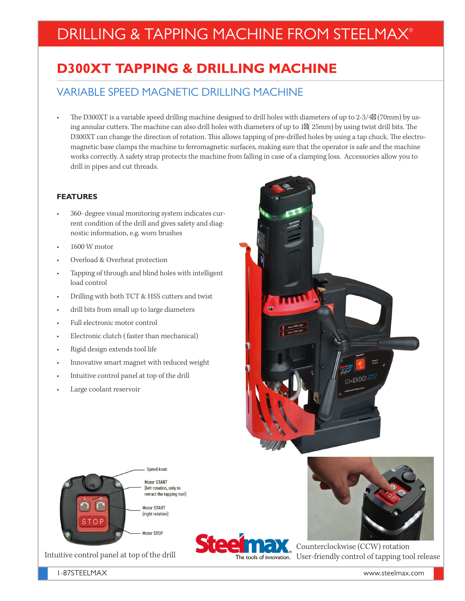# DRILLING & TAPPING MACHINE FROM STEELMAX®

## **D300XT TAPPING & DRILLING MACHINE**

## VARIABLE SPEED MAGNETIC DRILLING MACHINE

The D300XT is a variable speed drilling machine designed to drill holes with diameters of up to 2-3/4 (70mm) by using annular cutters. The machine can also drill holes with diameters of up to 1 (25mm) by using twist drill bits. The D300XT can change the direction of rotation. This allows tapping of pre-drilled holes by using a tap chuck. The electromagnetic base clamps the machine to ferromagnetic surfaces, making sure that the operator is safe and the machine works correctly. A safety strap protects the machine from falling in case of a clamping loss. Accessories allow you to drill in pipes and cut threads.

#### **FEATURES**

- 360- degree visual monitoring system indicates current condition of the drill and gives safety and diagnostic information, e.g. worn brushes
- 1600 W motor
- Overload & Overheat protection
- Tapping of through and blind holes with intelligent load control
- Drilling with both TCT & HSS cutters and twist
- drill bits from small up to large diameters
- Full electronic motor control
- Electronic clutch ( faster than mechanical)
- Rigid design extends tool life
- Innovative smart magnet with reduced weight
- Intuitive control panel at top of the drill
- Large coolant reservoir





Intuitive control panel at top of the drill





Counterclockwise (CCW) rotation The tools of innovation. User-friendly control of tapping tool release